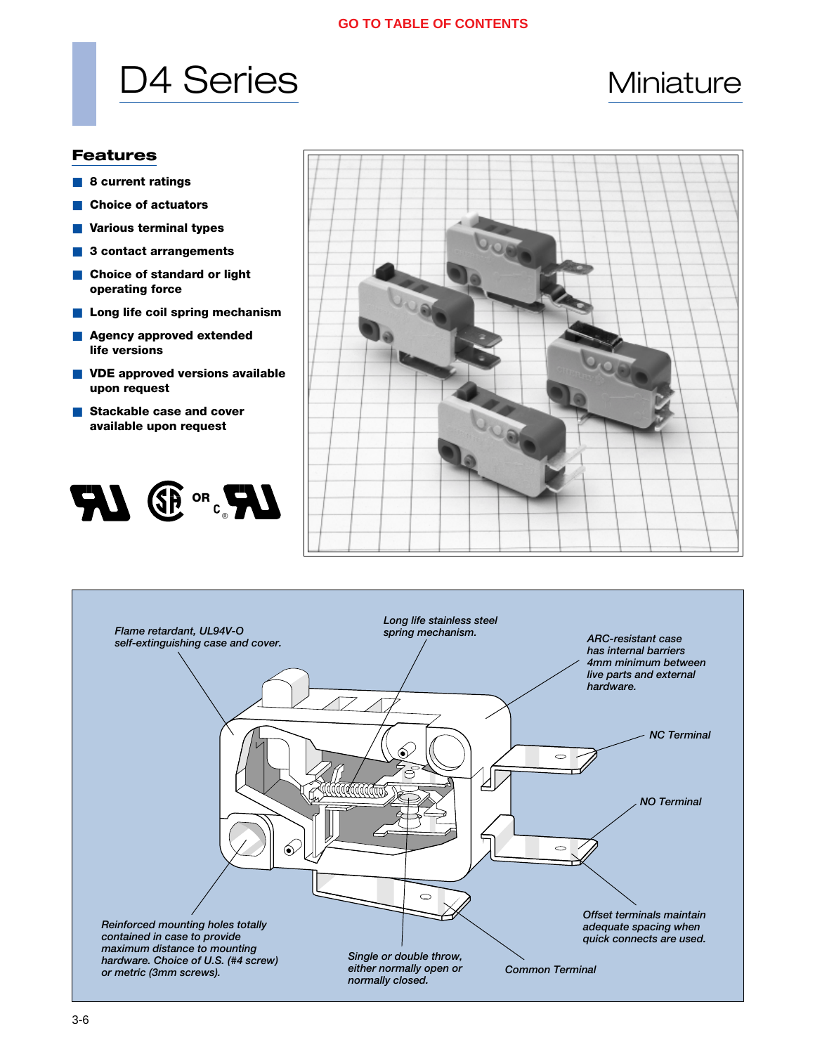# D4 Series Miniature

### **Features**

- **8 current ratings**
- **Choice of actuators**
- **Various terminal types**
- 3 contact arrangements
- **Choice of standard or light operating force**
- Long life coil spring mechanism
- **Agency approved extended life versions**
- **VDE** approved versions available **upon request**
- **Stackable case and cover available upon request**





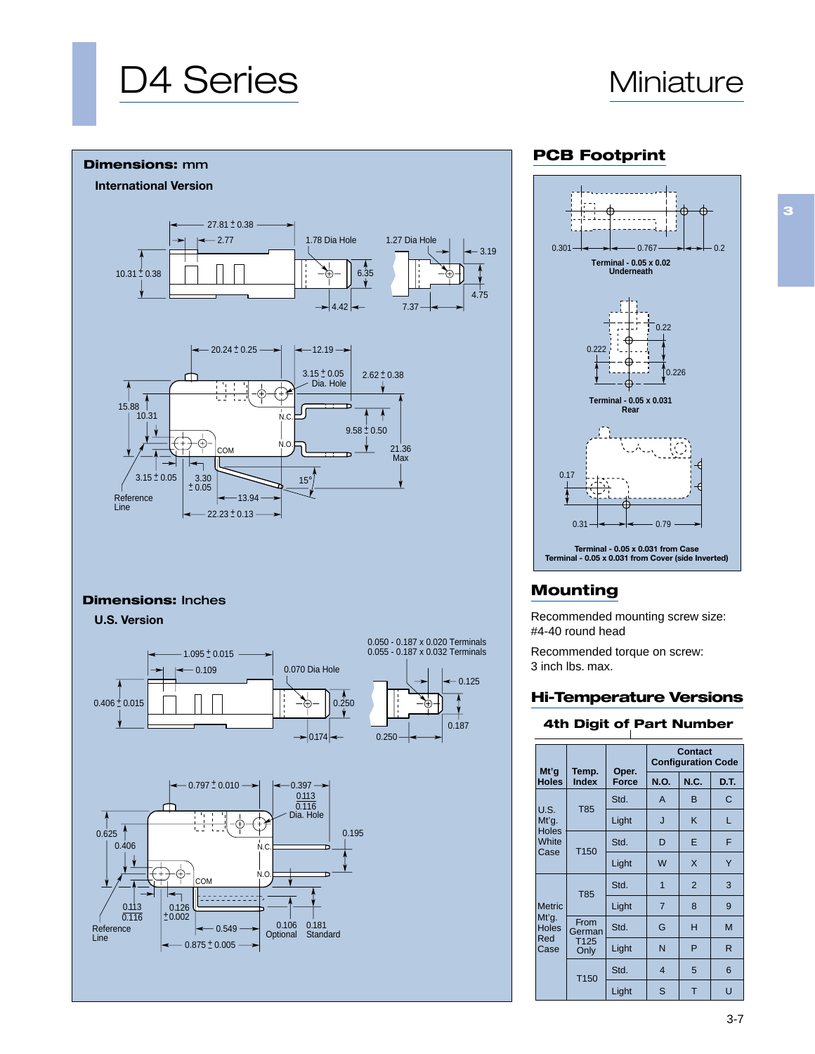# D4 Series Miniature



**3**



#### **Dimensions:** Inches

**U.S. Version**



## **PCB Footprint**



# **Mounting**

Recommended mounting screw size: #4-40 round head

Recommended torque on screw: 3 inch lbs. max.

### **Hi-Temperature Versions**

#### **4th Digit of Part Number**

|                               |                          |                                                                          | <b>Contact</b><br><b>Configuration Code</b> |                |      |  |  |
|-------------------------------|--------------------------|--------------------------------------------------------------------------|---------------------------------------------|----------------|------|--|--|
| Mt'g<br><b>Holes</b>          | Temp.<br><b>Index</b>    | Oper.<br><b>Force</b><br>Std.<br>Light<br>Std.<br>Light<br>Std.<br>Light | <b>N.O.</b>                                 | N.C.           | D.T. |  |  |
|                               | <b>T85</b>               |                                                                          | A                                           | B              | C    |  |  |
| U.S.<br>Mt'q.                 |                          |                                                                          | J                                           | K              | L    |  |  |
| <b>Holes</b><br>White<br>Case | T <sub>150</sub>         |                                                                          | D                                           | E              | F    |  |  |
|                               |                          |                                                                          | W                                           | $\times$       | Y    |  |  |
|                               | <b>T85</b>               |                                                                          | $\overline{1}$                              | $\overline{2}$ | 3    |  |  |
| <b>Metric</b>                 |                          |                                                                          | $\overline{7}$                              | 8              | 9    |  |  |
| Mt'g.<br><b>Holes</b>         | From<br>German           | Std.                                                                     | G                                           | н              | M    |  |  |
| Red<br>Case                   | T <sub>125</sub><br>Only | Light                                                                    | N                                           | P              | R    |  |  |
|                               | T <sub>150</sub>         | Std.                                                                     | 4                                           | 5              | 6    |  |  |
|                               |                          | Light                                                                    | S                                           | T              | Ü    |  |  |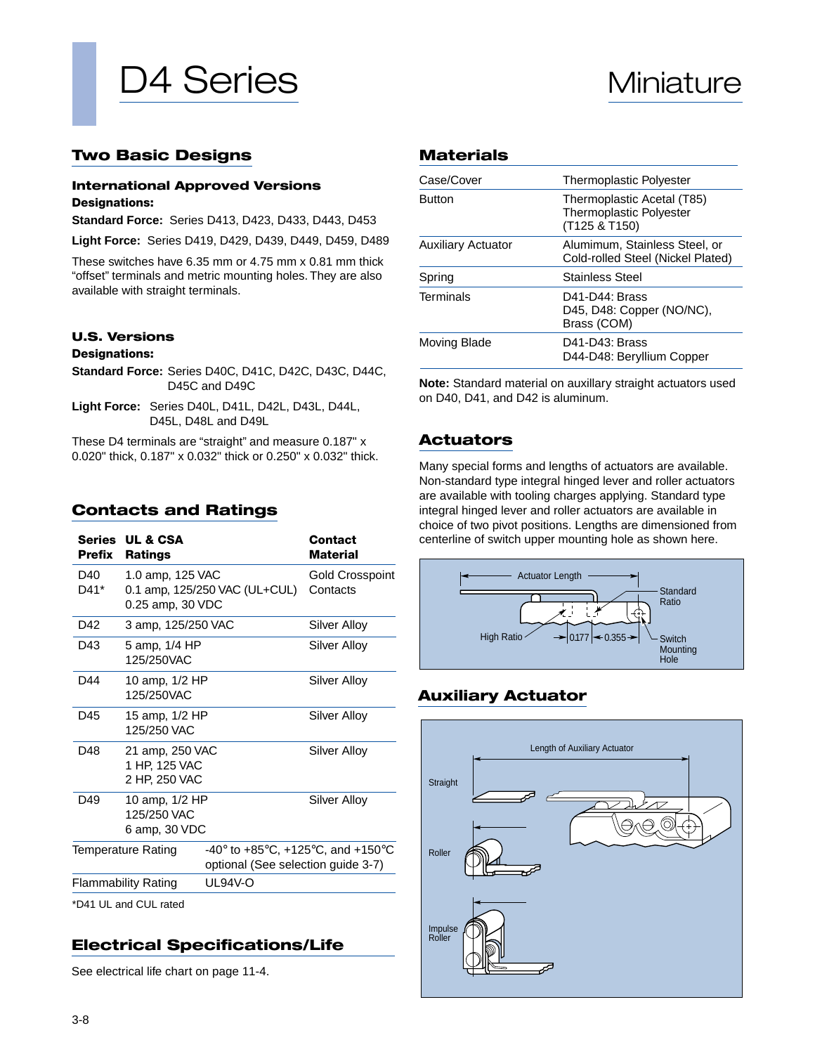

### **Two Basic Designs**

#### **International Approved Versions Designations:**

**Standard Force:** Series D413, D423, D433, D443, D453

**Light Force:** Series D419, D429, D439, D449, D459, D489

These switches have 6.35 mm or 4.75 mm x 0.81 mm thick "offset" terminals and metric mounting holes. They are also available with straight terminals.

#### **U.S. Versions**

#### **Designations:**

- **Standard Force:** Series D40C, D41C, D42C, D43C, D44C, D45C and D49C
- **Light Force:** Series D40L, D41L, D42L, D43L, D44L, D45L, D48L and D49L

These D4 terminals are "straight" and measure 0.187" x 0.020" thick, 0.187" x 0.032" thick or 0.250" x 0.032" thick.

### **Contacts and Ratings**

| Series UL & CSA<br>Prefix<br><b>Ratings</b> |                                                                                                                    | Contact<br>Material                                                                                                                                                                                                                      |  |  |  |
|---------------------------------------------|--------------------------------------------------------------------------------------------------------------------|------------------------------------------------------------------------------------------------------------------------------------------------------------------------------------------------------------------------------------------|--|--|--|
|                                             |                                                                                                                    | Gold Crosspoint<br>Contacts                                                                                                                                                                                                              |  |  |  |
|                                             |                                                                                                                    | Silver Alloy                                                                                                                                                                                                                             |  |  |  |
| 125/250VAC                                  |                                                                                                                    | Silver Alloy                                                                                                                                                                                                                             |  |  |  |
| 125/250VAC                                  |                                                                                                                    | Silver Alloy                                                                                                                                                                                                                             |  |  |  |
| 125/250 VAC                                 |                                                                                                                    | Silver Alloy                                                                                                                                                                                                                             |  |  |  |
|                                             |                                                                                                                    | Silver Alloy                                                                                                                                                                                                                             |  |  |  |
| 125/250 VAC                                 |                                                                                                                    | Silver Alloy                                                                                                                                                                                                                             |  |  |  |
| Temperature Rating                          | -40 $^{\circ}$ to +85 $^{\circ}$ C, +125 $^{\circ}$ C, and +150 $^{\circ}$ C<br>optional (See selection guide 3-7) |                                                                                                                                                                                                                                          |  |  |  |
| <b>Flammability Rating</b>                  | <b>UL94V-O</b>                                                                                                     |                                                                                                                                                                                                                                          |  |  |  |
|                                             |                                                                                                                    | 1.0 amp, 125 VAC<br>0.1 amp, 125/250 VAC (UL+CUL)<br>0.25 amp, 30 VDC<br>3 amp, 125/250 VAC<br>5 amp, 1/4 HP<br>10 amp, 1/2 HP<br>15 amp, 1/2 HP<br>21 amp, 250 VAC<br>1 HP, 125 VAC<br>2 HP, 250 VAC<br>10 amp, 1/2 HP<br>6 amp, 30 VDC |  |  |  |

\*D41 UL and CUL rated

# **Electrical Specifications/Life**

See electrical life chart on page 11-4.

#### **Materials**

| Case/Cover                | <b>Thermoplastic Polyester</b>                                                |
|---------------------------|-------------------------------------------------------------------------------|
| <b>Button</b>             | Thermoplastic Acetal (T85)<br><b>Thermoplastic Polyester</b><br>(T125 & T150) |
| <b>Auxiliary Actuator</b> | Alumimum, Stainless Steel, or<br>Cold-rolled Steel (Nickel Plated)            |
| Spring                    | <b>Stainless Steel</b>                                                        |
| Terminals                 | D41-D44: Brass<br>D45, D48: Copper (NO/NC),<br>Brass (COM)                    |
| Moving Blade              | D41-D43: Brass<br>D44-D48: Beryllium Copper                                   |

**Note:** Standard material on auxillary straight actuators used on D40, D41, and D42 is aluminum.

## **Actuators**

Many special forms and lengths of actuators are available. Non-standard type integral hinged lever and roller actuators are available with tooling charges applying. Standard type integral hinged lever and roller actuators are available in choice of two pivot positions. Lengths are dimensioned from centerline of switch upper mounting hole as shown here.



# **Auxiliary Actuator**

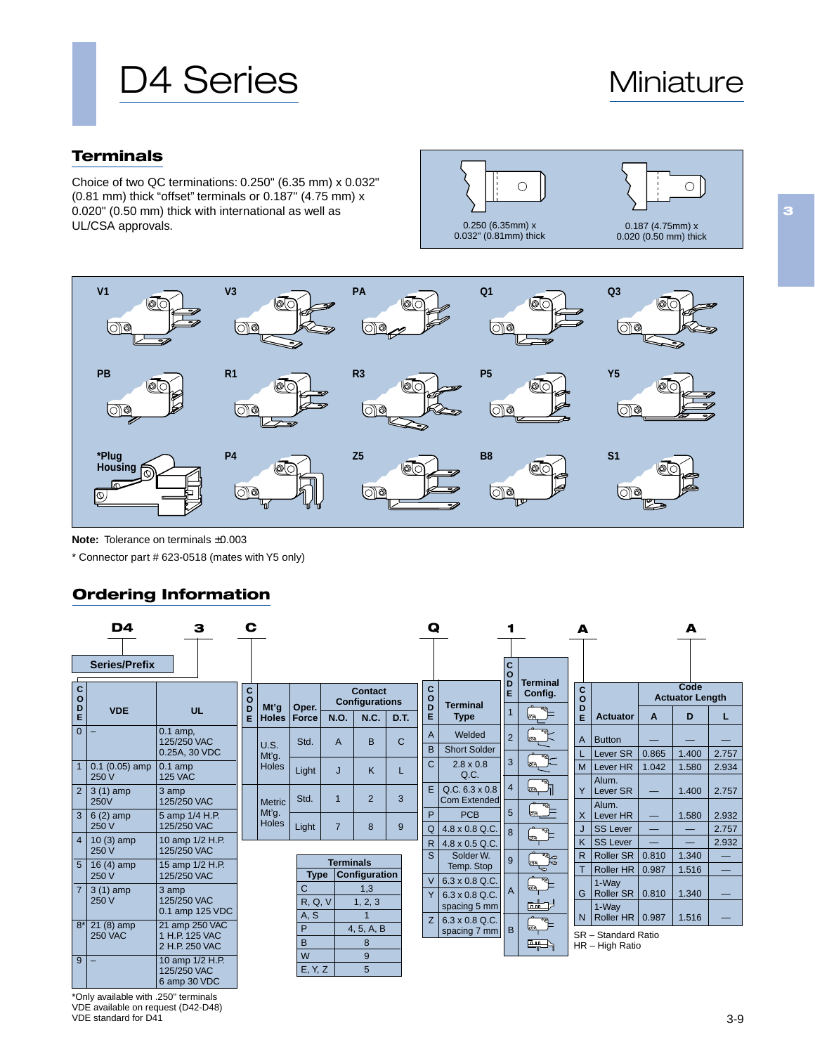# D4 Series Miniature

# **Terminals**

Choice of two QC terminations: 0.250" (6.35 mm) x 0.032" (0.81 mm) thick "offset" terminals or 0.187" (4.75 mm) x 0.020" (0.50 mm) thick with international as well as UL/CSA approvals.





**Note:** Tolerance on terminals ±0.003

\* Connector part # 623-0518 (mates with Y5 only)

# **Ordering Information**

|                   | D4                        |                                | С             |               |                |                |                                  |             |                   | Ω |                                              |                |                   | А            |  |
|-------------------|---------------------------|--------------------------------|---------------|---------------|----------------|----------------|----------------------------------|-------------|-------------------|---|----------------------------------------------|----------------|-------------------|--------------|--|
|                   | <b>Series/Prefix</b>      |                                |               |               |                |                |                                  |             |                   |   |                                              | C<br>$\circ$   | <b>Terminal</b>   |              |  |
| C<br>$\mathbf{o}$ |                           |                                | C<br>$\Omega$ | Mt'g          |                |                | Contact<br><b>Configurations</b> |             | C<br>$\circ$<br>D |   | <b>Terminal</b>                              | D<br>E         | Config.           | $\rm ^c_o$   |  |
| D<br>E            | <b>VDE</b>                | <b>UL</b>                      | D<br>E        | <b>Holes</b>  | Oper.<br>Force | <b>N.O.</b>    | <b>N.C.</b>                      | D.T.        | E                 |   | <b>Type</b>                                  | $\mathbf{1}$   | оo                | D<br>E       |  |
| $\overline{0}$    | ۳                         | $0.1$ amp,<br>125/250 VAC      |               |               | Std.           | $\mathsf{A}$   | B                                | $\mathbf C$ | $\overline{A}$    |   | Welded                                       | $\overline{2}$ |                   | A            |  |
|                   |                           | 0.25A, 30 VDC                  |               | U.S.<br>Mt'q. |                |                |                                  |             | B                 |   | <b>Short Solder</b>                          |                |                   |              |  |
| $\mathbf{1}$      | $0.1(0.05)$ amp<br>250 V  | $0.1$ amp<br><b>125 VAC</b>    |               | Holes         | Light          | J              | K                                | L           | $\overline{C}$    |   | $2.8 \times 0.8$<br>Q.C.                     | 3              | lola              | M            |  |
| $\overline{2}$    | $3(1)$ amp<br><b>250V</b> | 3 amp<br>125/250 VAC           |               | <b>Metric</b> | Std.           | $\overline{1}$ | $\overline{2}$                   | 3           | E                 |   | $Q.C. 6.3 \times 0.8$<br><b>Com Extended</b> | $\overline{4}$ |                   | Y            |  |
| 3                 | $6(2)$ amp                | 5 amp 1/4 H.P.                 |               | Mt'q.         |                |                |                                  |             | P                 |   | <b>PCB</b>                                   | 5              |                   | X            |  |
|                   | 250 V                     | 125/250 VAC                    |               | <b>Holes</b>  | Light          | $\overline{7}$ | 8                                | 9           | Q                 |   | 4.8 x 0.8 Q.C.                               | 8              |                   | J            |  |
| $\overline{4}$    | $10(3)$ amp<br>250 V      | 10 amp 1/2 H.P.<br>125/250 VAC |               |               |                |                |                                  |             | $\mathsf{R}$      |   | $4.8 \times 0.5$ Q.C.                        |                | ōП                | K            |  |
| 5                 | 16 $(4)$ amp              | 15 amp 1/2 H.P.                |               |               |                |                | <b>Terminals</b>                 |             | S                 |   | Solder W.                                    | 9              | ್ಕೌ<br><b>org</b> | $\mathsf{R}$ |  |
|                   | 250 V                     | 125/250 VAC                    |               |               | <b>Type</b>    |                | Configuration                    |             | $\vee$            |   | Temp. Stop<br>$6.3 \times 0.8$ Q.C.          |                | ্য                | T            |  |
| $\overline{7}$    | $3(1)$ amp                | 3 amp                          |               |               | $\overline{C}$ |                | 1,3                              |             | Y                 |   | $6.3 \times 0.8$ Q.C.                        | $\mathsf{A}$   |                   | G            |  |
|                   | 250 V                     | 125/250 VAC<br>0.1 amp 125 VDC |               |               | R, Q, V        |                | 1, 2, 3                          |             |                   |   | spacing 5 mm                                 |                | <b>Form</b>       |              |  |
| $8*$              | $21(8)$ amp               | 21 amp 250 VAC                 |               |               | A, S           |                | $\overline{1}$                   |             | Z                 |   | $6.3 \times 0.8$ Q.C.                        |                |                   | $\mathsf{N}$ |  |
|                   | <b>250 VAC</b>            | 1 H.P. 125 VAC                 |               |               | P<br>B         |                | 4, 5, A, B                       |             |                   |   | spacing 7 mm                                 | B              | <b>loto</b>       | <b>SR</b>    |  |
|                   |                           | 2 H.P. 250 VAC                 |               |               | W              |                | 8<br>9                           |             |                   |   |                                              |                | ببسا              | <b>HR</b>    |  |
| $\overline{9}$    |                           | 10 amp 1/2 H.P.<br>125/250 VAC |               |               | E, Y, Z        |                | 5                                |             |                   |   |                                              |                |                   |              |  |
|                   |                           | 6 amp 30 VDC                   |               |               |                |                |                                  |             |                   |   |                                              |                |                   |              |  |

| <b>Terminal</b> |             |                           |                        | Code  |       |  |  |  |
|-----------------|-------------|---------------------------|------------------------|-------|-------|--|--|--|
| Config.         | C<br>O<br>D |                           | <b>Actuator Length</b> |       |       |  |  |  |
| ெ<br>٥a         | Ē           | <b>Actuator</b>           | A                      | D     | L     |  |  |  |
| वठ<br>bр        | А           | <b>Button</b>             |                        |       |       |  |  |  |
| व्ह             |             | Lever SR                  | 0.865                  | 1.400 | 2.757 |  |  |  |
| oo              | M           | Lever HR                  | 1.042                  | 1.580 | 2.934 |  |  |  |
| व⊚<br><b>o</b>  | Ÿ           | Alum.<br><b>Lever SR</b>  |                        | 1.400 | 2.757 |  |  |  |
| क्ल<br>٥o       | x           | Alum.<br>Lever HR         |                        | 1.580 | 2.932 |  |  |  |
| क्ल             | J           | <b>SS Lever</b>           |                        |       | 2.757 |  |  |  |
| oo              | K           | <b>SS Lever</b>           |                        |       | 2.932 |  |  |  |
| ao.             | R           | <b>Roller SR</b>          | 0.810                  | 1.340 |       |  |  |  |
| od<br>प्ट       | T           | <b>Roller HR</b>          | 0.987                  | 1.516 |       |  |  |  |
| वल<br>op        | G           | 1-Way<br><b>Roller SR</b> | 0.810                  | 1.340 |       |  |  |  |
| 面面<br>ण्⊙       | N           | 1-Way<br><b>Roller HR</b> | 0.987                  | 1.516 |       |  |  |  |
| lora            |             | SR - Standard Ratio       |                        |       |       |  |  |  |

**A**

HR – High Ratio

\*Only available with .250" terminals VDE available on request (D42-D48) VDE standard for D41

**3**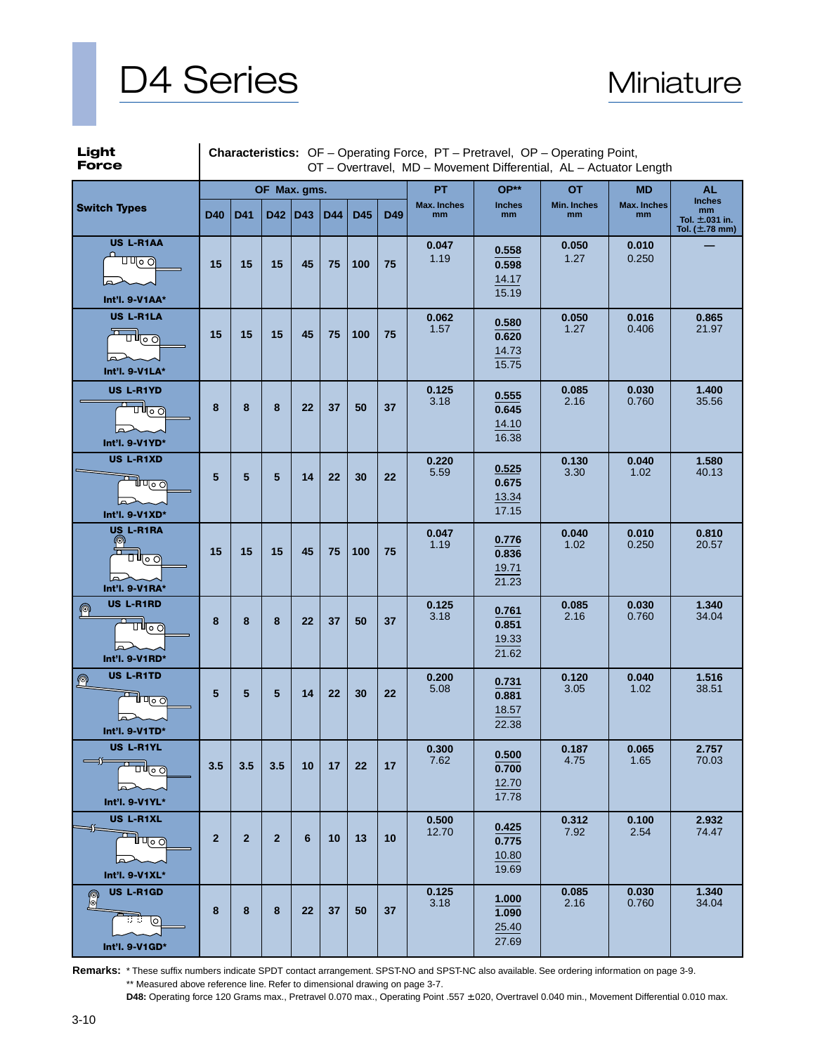



| Light<br><b>Force</b>                                                                                                       | <b>Characteristics:</b> OF - Operating Force, PT - Pretravel, OP - Operating Point,<br>OT - Overtravel, MD - Movement Differential, AL - Actuator Length |                |                |     |     |     |     |                   |                                  |                   |                   |                                                                   |
|-----------------------------------------------------------------------------------------------------------------------------|----------------------------------------------------------------------------------------------------------------------------------------------------------|----------------|----------------|-----|-----|-----|-----|-------------------|----------------------------------|-------------------|-------------------|-------------------------------------------------------------------|
|                                                                                                                             |                                                                                                                                                          |                | OF Max. gms.   |     |     |     |     | <b>PT</b>         | OP**                             | <b>OT</b>         | <b>MD</b>         | <b>AL</b>                                                         |
| <b>Switch Types</b>                                                                                                         | <b>D40</b>                                                                                                                                               | D41            | D42            | D43 | D44 | D45 | D49 | Max. Inches<br>mm | <b>Inches</b><br>mm              | Min. Inches<br>mm | Max. Inches<br>mm | <b>Inches</b><br>mm<br>Tol. $\pm$ .031 in.<br>Tol. $(\pm .78$ mm) |
| US L-R1AA<br>णण⊙⊙<br>Int'l. 9-V1AA*                                                                                         | 15                                                                                                                                                       | 15             | 15             | 45  | 75  | 100 | 75  | 0.047<br>1.19     | 0.558<br>0.598<br>14.17<br>15.19 | 0.050<br>1.27     | 0.010<br>0.250    |                                                                   |
| US L-R1LA<br>고<br>$\overline{\overline{\mathbf{u}}}_{\overline{\mathbf{v}} \circ \underline{\mathbf{v}}}$<br>Int'l. 9-V1LA* | 15                                                                                                                                                       | 15             | 15             | 45  | 75  | 100 | 75  | 0.062<br>1.57     | 0.580<br>0.620<br>14.73<br>15.75 | 0.050<br>1.27     | 0.016<br>0.406    | 0.865<br>21.97                                                    |
| US L-R1YD<br>णा∞ा<br>Int'l. 9-V1YD*                                                                                         | 8                                                                                                                                                        | 8              | 8              | 22  | 37  | 50  | 37  | 0.125<br>3.18     | 0.555<br>0.645<br>14.10<br>16.38 | 0.085<br>2.16     | 0.030<br>0.760    | 1.400<br>35.56                                                    |
| US L-R1XD<br><b>∃</b> ण्ठ ⊙<br>Int'l. 9-V1XD*                                                                               | 5                                                                                                                                                        | 5              | 5              | 14  | 22  | 30  | 22  | 0.220<br>5.59     | 0.525<br>0.675<br>13.34<br>17.15 | 0.130<br>3.30     | 0.040<br>1.02     | 1.580<br>40.13                                                    |
| US L-R1RA<br>ၜ<br>ॻऻ⊩ॣ॒॒॒<br>Int'l. 9-V1RA*                                                                                 | 15                                                                                                                                                       | 15             | 15             | 45  | 75  | 100 | 75  | 0.047<br>1.19     | 0.776<br>0.836<br>19.71<br>21.23 | 0.040<br>1.02     | 0.010<br>0.250    | 0.810<br>20.57                                                    |
| US L-R1RD<br>$^{\circ}$<br>┯<br>ॻऻऻज़<br>Int'l. 9-V1RD*                                                                     | 8                                                                                                                                                        | 8              | 8              | 22  | 37  | 50  | 37  | 0.125<br>3.18     | 0.761<br>0.851<br>19.33<br>21.62 | 0.085<br>2.16     | 0.030<br>0.760    | 1.340<br>34.04                                                    |
| <b>US L-R1TD</b><br>$\Omega$<br>न्नी प्००<br>Int'l. 9-V1TD*                                                                 | 5                                                                                                                                                        | 5              | 5              | 14  | 22  | 30  | 22  | 0.200<br>5.08     | 0.731<br>0.881<br>18.57<br>22.38 | 0.120<br>3.05     | 0.040<br>1.02     | 1.516<br>38.51                                                    |
| US L-R1YL<br>$\longrightarrow$<br>பி∣ு<br>حما<br>Int'l. 9-V1YL*                                                             | 3.5                                                                                                                                                      | 3.5            | 3.5            | 10  | 17  | 22  | 17  | 0.300<br>7.62     | 0.500<br>0.700<br>12.70<br>17.78 | 0.187<br>4.75     | 0.065<br>1.65     | 2.757<br>70.03                                                    |
| US L-R1XL<br>⇒<br>فسلطت<br>حما<br>Int'l. 9-V1XL*                                                                            | $\overline{2}$                                                                                                                                           | $\overline{2}$ | $\overline{2}$ | 6   | 10  | 13  | 10  | 0.500<br>12.70    | 0.425<br>0.775<br>10.80<br>19.69 | 0.312<br>7.92     | 0.100<br>2.54     | 2.932<br>74.47                                                    |
| US L-R1GD<br>النقع<br>ि<br>Int'l. 9-V1GD*                                                                                   | 8                                                                                                                                                        | 8              | 8              | 22  | 37  | 50  | 37  | 0.125<br>3.18     | 1.000<br>1.090<br>25.40<br>27.69 | 0.085<br>2.16     | 0.030<br>0.760    | 1.340<br>34.04                                                    |

**Remarks:** \* These suffix numbers indicate SPDT contact arrangement. SPST-NO and SPST-NC also available. See ordering information on page 3-9. \*\* Measured above reference line. Refer to dimensional drawing on page 3-7.

**D48:** Operating force 120 Grams max., Pretravel 0.070 max., Operating Point .557 ±.020, Overtravel 0.040 min., Movement Differential 0.010 max.